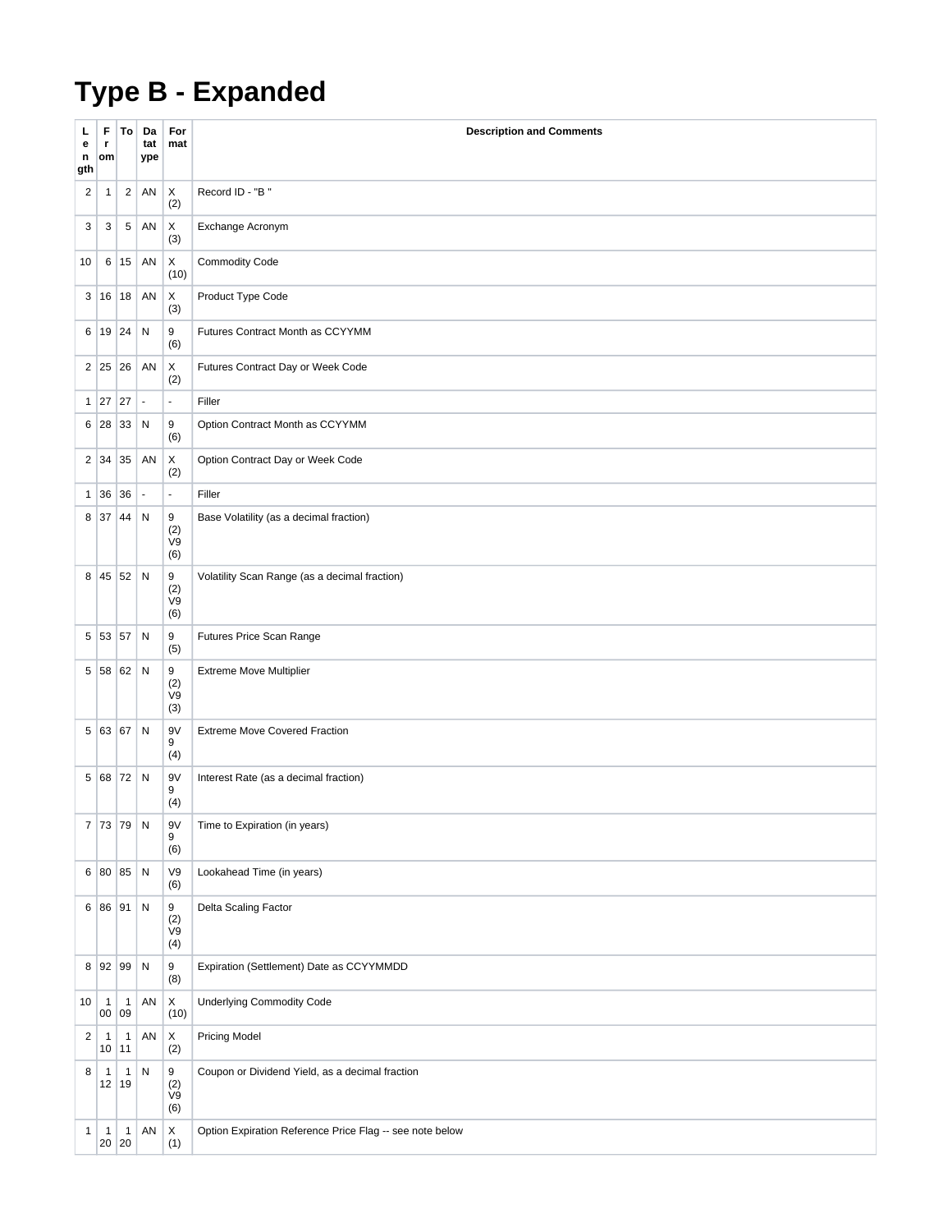## **Type B - Expanded**

| L<br>е<br>n<br>gth | F<br>r.<br>om         | To                 | Da<br>tat<br>ype | For<br>mat                | <b>Description and Comments</b>                          |
|--------------------|-----------------------|--------------------|------------------|---------------------------|----------------------------------------------------------|
| 2                  | 1                     | $\overline{2}$     | AN               | X<br>(2)                  | Record ID - "B"                                          |
| 3                  | 3                     | $\,$ 5 $\,$        | AN               | Χ<br>(3)                  | Exchange Acronym                                         |
| 10                 |                       | 6 15               | AN               | X<br>(10)                 | <b>Commodity Code</b>                                    |
|                    | 3 16 18               |                    | AN               | X<br>(3)                  | Product Type Code                                        |
|                    | 6 19 24               |                    | $\mathsf{N}$     | 9<br>(6)                  | Futures Contract Month as CCYYMM                         |
|                    | 2 25 26               |                    | AN               | Χ<br>(2)                  | Futures Contract Day or Week Code                        |
| $\mathbf{1}$       | 27                    | 27                 | $\Box$           | ä,                        | Filler                                                   |
|                    | 6 28                  | 33                 | N                | 9<br>(6)                  | Option Contract Month as CCYYMM                          |
|                    | $2 \mid 34$           | 35                 | AN               | X<br>(2)                  | Option Contract Day or Week Code                         |
| $\mathbf{1}$       | 36                    | 36                 | $\Box$           | ä,                        | Filler                                                   |
| 8                  | 37                    | 44                 | $\mathsf{N}$     | 9<br>(2)<br>V9<br>(6)     | Base Volatility (as a decimal fraction)                  |
|                    |                       | 8 45 52 N          |                  | 9<br>(2)<br>V9<br>(6)     | Volatility Scan Range (as a decimal fraction)            |
|                    | 5 53 57               |                    | ${\sf N}$        | 9<br>(5)                  | Futures Price Scan Range                                 |
|                    |                       | 5 58 62            | $\mathsf{N}$     | 9<br>(2)<br>V9<br>(3)     | Extreme Move Multiplier                                  |
|                    | 5 63 67               |                    | ${\sf N}$        | 9V<br>9<br>(4)            | <b>Extreme Move Covered Fraction</b>                     |
| 5                  | 68 72                 |                    | $\mathsf{N}$     | 9V<br>9<br>(4)            | Interest Rate (as a decimal fraction)                    |
|                    |                       | 7   73   79   N    |                  | 9V<br>9<br>(6)            | Time to Expiration (in years)                            |
|                    |                       | 6 80 85 N          |                  | V9<br>(6)                 | Lookahead Time (in years)                                |
|                    |                       | 6 86 91            | ${\sf N}$        | 9<br>$(2)$<br>$V9$<br>(4) | Delta Scaling Factor                                     |
|                    | 8 92 99               |                    | ${\sf N}$        | 9<br>(8)                  | Expiration (Settlement) Date as CCYYMMDD                 |
| 10                 | $\mathbf{1}$<br>00 09 | $\mathbf{1}$       | AN               | X<br>(10)                 | <b>Underlying Commodity Code</b>                         |
| $\overline{2}$     | $\mathbf{1}$<br>10    | $\mathbf{1}$<br>11 | AN               | $\mathsf X$<br>(2)        | <b>Pricing Model</b>                                     |
| 8                  | $\mathbf{1}$<br>12 19 | $\mathbf{1}$       | N                | 9<br>(2)<br>V9<br>(6)     | Coupon or Dividend Yield, as a decimal fraction          |
| $\mathbf{1}$       | $\mathbf{1}$<br>20 20 | $\mathbf{1}$       | AN               | X<br>(1)                  | Option Expiration Reference Price Flag -- see note below |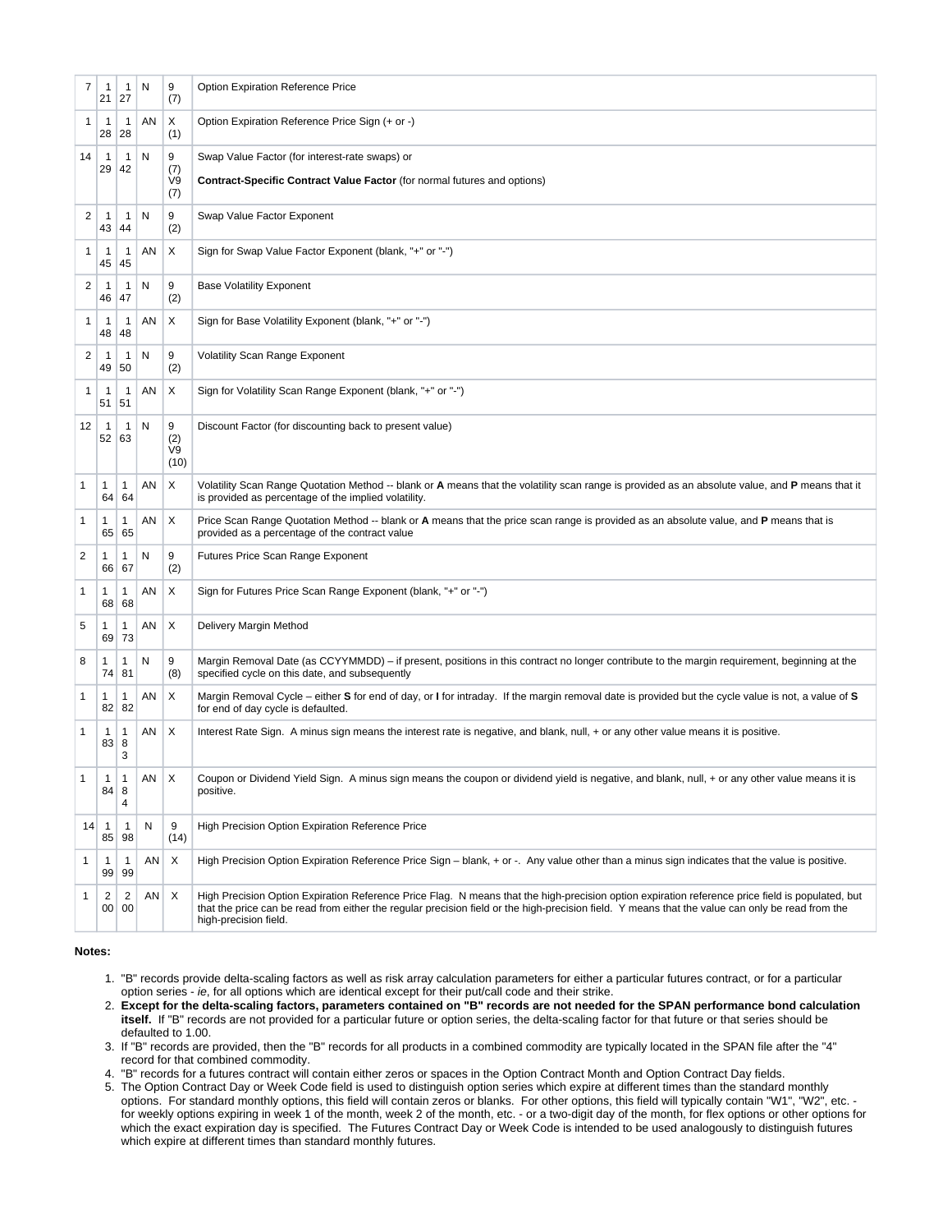| $\overline{7}$ | 1<br>21            | $\mathbf{1}$<br>27     | N  | 9<br>(7)               | Option Expiration Reference Price                                                                                                                                                                                                                                                                                             |
|----------------|--------------------|------------------------|----|------------------------|-------------------------------------------------------------------------------------------------------------------------------------------------------------------------------------------------------------------------------------------------------------------------------------------------------------------------------|
| 1              | 1<br>28            | $\mathbf{1}$<br>28     | ΑN | Χ<br>(1)               | Option Expiration Reference Price Sign (+ or -)                                                                                                                                                                                                                                                                               |
| 14             | 1<br>29            | $\mathbf{1}$<br>42     | N  | 9<br>(7)<br>V9<br>(7)  | Swap Value Factor (for interest-rate swaps) or<br><b>Contract-Specific Contract Value Factor (for normal futures and options)</b>                                                                                                                                                                                             |
| 2              | $\mathbf{1}$<br>43 | $\mathbf{1}$<br>44     | N  | 9<br>(2)               | Swap Value Factor Exponent                                                                                                                                                                                                                                                                                                    |
| 1              | 1<br>45            | $\mathbf{1}$<br>45     | ΑN | Χ                      | Sign for Swap Value Factor Exponent (blank, "+" or "-")                                                                                                                                                                                                                                                                       |
| 2              | 1<br>46            | $\mathbf{1}$<br>47     | N  | 9<br>(2)               | <b>Base Volatility Exponent</b>                                                                                                                                                                                                                                                                                               |
| 1              | 1<br>48            | $\mathbf{1}$<br>48     | AN | Χ                      | Sign for Base Volatility Exponent (blank, "+" or "-")                                                                                                                                                                                                                                                                         |
| 2              | 1<br>49            | $\mathbf{1}$<br>50     | N  | 9<br>(2)               | <b>Volatility Scan Range Exponent</b>                                                                                                                                                                                                                                                                                         |
| 1              | 1<br>51            | $\mathbf{1}$<br>51     | AN | Χ                      | Sign for Volatility Scan Range Exponent (blank, "+" or "-")                                                                                                                                                                                                                                                                   |
| 12             | -1<br>52           | $\mathbf{1}$<br>63     | N  | 9<br>(2)<br>V9<br>(10) | Discount Factor (for discounting back to present value)                                                                                                                                                                                                                                                                       |
| 1              | 1<br>64            | 1<br>64                | ΑN | Χ                      | Volatility Scan Range Quotation Method -- blank or A means that the volatility scan range is provided as an absolute value, and P means that it<br>is provided as percentage of the implied volatility.                                                                                                                       |
| 1              | 1<br>65            | 1<br>65                | AN | Χ                      | Price Scan Range Quotation Method -- blank or A means that the price scan range is provided as an absolute value, and P means that is<br>provided as a percentage of the contract value                                                                                                                                       |
| 2              | 1<br>66            | 1<br>67                | N  | 9<br>(2)               | Futures Price Scan Range Exponent                                                                                                                                                                                                                                                                                             |
| 1              | 1<br>68            | 1<br>68                | AN | Χ                      | Sign for Futures Price Scan Range Exponent (blank, "+" or "-")                                                                                                                                                                                                                                                                |
| 5              | 1<br>69            | 1<br>73                | AN | Χ                      | Delivery Margin Method                                                                                                                                                                                                                                                                                                        |
| 8              | 1<br>74            | 1<br>81                | N  | 9<br>(8)               | Margin Removal Date (as CCYYMMDD) – if present, positions in this contract no longer contribute to the margin requirement, beginning at the<br>specified cycle on this date, and subsequently                                                                                                                                 |
| 1              | 1<br>82            | 1<br>82                | AN | X                      | Margin Removal Cycle – either S for end of day, or I for intraday. If the margin removal date is provided but the cycle value is not, a value of S<br>for end of day cycle is defaulted.                                                                                                                                      |
| 1              | 1<br>83            | 1<br>8<br>3            | ΑN | X                      | Interest Rate Sign. A minus sign means the interest rate is negative, and blank, null, + or any other value means it is positive.                                                                                                                                                                                             |
| 1              | 1<br>84            | $\mathbf{1}$<br>8<br>4 | AN | X                      | Coupon or Dividend Yield Sign. A minus sign means the coupon or dividend yield is negative, and blank, null, + or any other value means it is<br>positive.                                                                                                                                                                    |
| 14             | $\mathbf{1}$<br>85 | $\mathbf{1}$<br>98     | N  | 9<br>(14)              | High Precision Option Expiration Reference Price                                                                                                                                                                                                                                                                              |
| 1              | 1<br>99            | $\mathbf{1}$<br>99     | ΑN | X                      | High Precision Option Expiration Reference Price Sign – blank, + or -. Any value other than a minus sign indicates that the value is positive.                                                                                                                                                                                |
| 1              | 2<br>00            | $\sqrt{2}$<br>00       | AN | X                      | High Precision Option Expiration Reference Price Flag. N means that the high-precision option expiration reference price field is populated, but<br>that the price can be read from either the regular precision field or the high-precision field. Y means that the value can only be read from the<br>high-precision field. |

## **Notes:**

- 1. "B" records provide delta-scaling factors as well as risk array calculation parameters for either a particular futures contract, or for a particular option series - ie, for all options which are identical except for their put/call code and their strike.
- 2. **Except for the delta-scaling factors, parameters contained on "B" records are not needed for the SPAN performance bond calculation itself.** If "B" records are not provided for a particular future or option series, the delta-scaling factor for that future or that series should be defaulted to 1.00.
- 3. If "B" records are provided, then the "B" records for all products in a combined commodity are typically located in the SPAN file after the "4" record for that combined commodity.
- 4. "B" records for a futures contract will contain either zeros or spaces in the Option Contract Month and Option Contract Day fields.
- 5. The Option Contract Day or Week Code field is used to distinguish option series which expire at different times than the standard monthly options. For standard monthly options, this field will contain zeros or blanks. For other options, this field will typically contain "W1", "W2", etc. for weekly options expiring in week 1 of the month, week 2 of the month, etc. - or a two-digit day of the month, for flex options or other options for which the exact expiration day is specified. The Futures Contract Day or Week Code is intended to be used analogously to distinguish futures which expire at different times than standard monthly futures.